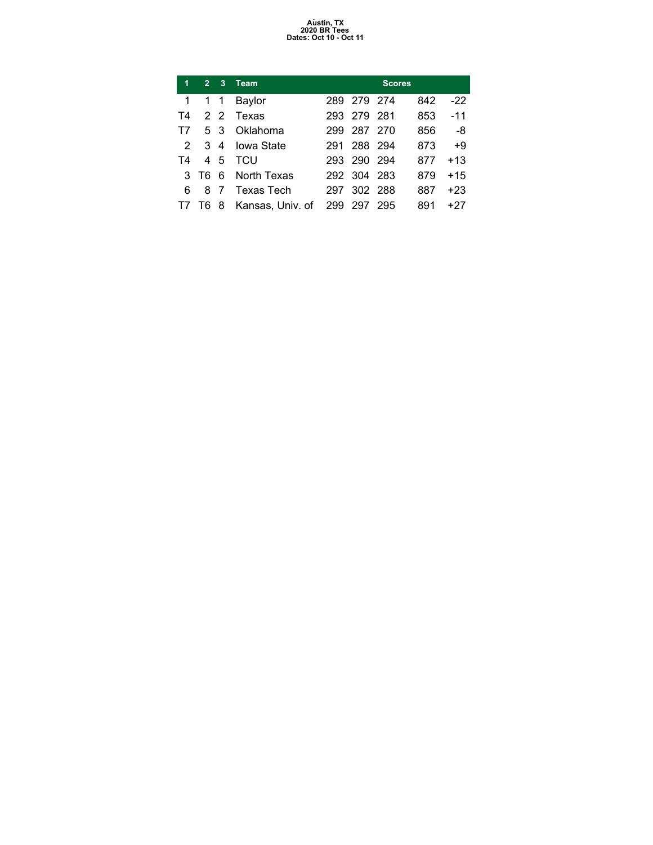### Austin, TX<br>2020 BR Tees<br>Dates: Oct 10 - Oct 11

| 1              | 27        | $\mathbf{3}$    | <b>Team</b>              |     |             | <b>Scores</b> |     |       |
|----------------|-----------|-----------------|--------------------------|-----|-------------|---------------|-----|-------|
| 1              | $1\quad1$ |                 | Baylor                   |     | 289 279 274 |               | 842 | $-22$ |
| T4             |           | $2\overline{2}$ | Texas                    |     | 293 279 281 |               | 853 | $-11$ |
| T7             |           | 53              | Oklahoma                 | 299 | 287 270     |               | 856 | -8    |
| $\overline{2}$ | $3\,4$    |                 | <b>Iowa State</b>        | 291 | 288 294     |               | 873 | $+9$  |
| T4             |           | 45              | <b>TCU</b>               |     | 293 290 294 |               | 877 | $+13$ |
|                | 3 T6 6    |                 | North Texas              |     | 292 304 283 |               | 879 | $+15$ |
| 6              | 87        |                 | Texas Tech               | 297 | 302 288     |               | 887 | $+23$ |
|                |           |                 | T7 T6 8 Kansas, Univ. of |     | 299 297     | 295           | 891 | +27   |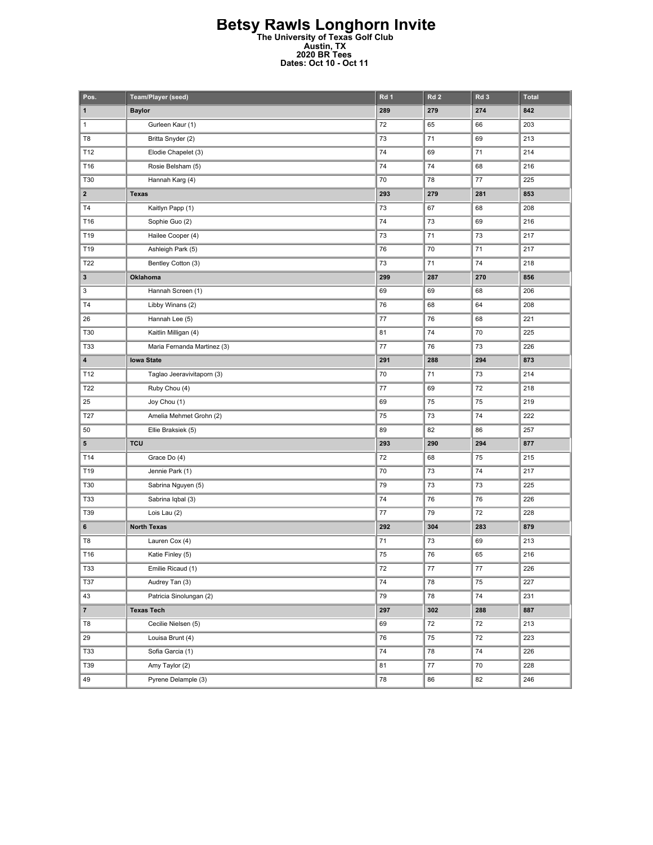#### Betsy Rawls Longhorn Invite The University of Texas Golf Club Austin, TX 2020 BR Tees Dates: Oct 10 - Oct 11

| Pos.                    | Team/Player (seed)          | Rd 1       | Rd <sub>2</sub> | Rd 3    | <b>Total</b> |
|-------------------------|-----------------------------|------------|-----------------|---------|--------------|
| $\mathbf{1}$            | <b>Baylor</b>               | 289        | 279             | 274     | 842          |
| $\mathbf{1}$            | Gurleen Kaur (1)            | 72         | 65              | 66      | 203          |
| T8                      | Britta Snyder (2)           | 73         | 71              | 69      | 213          |
| T12                     | Elodie Chapelet (3)         | 74         | 69              | 71      | 214          |
| T16                     | Rosie Belsham (5)           | 74         | 74              | 68      | 216          |
| T30                     | Hannah Karg (4)             | 70         | 78              | 77      | 225          |
| $\mathbf{2}$            | <b>Texas</b>                | 293        | 279             | 281     | 853          |
| T4                      | Kaitlyn Papp (1)            | 73         | 67              | 68      | 208          |
| T16                     | Sophie Guo (2)              | 74         | 73              | 69      | 216          |
| T19                     | Hailee Cooper (4)           | 73         | 71              | 73      | 217          |
| T19                     | Ashleigh Park (5)           | 76         | 70              | 71      | 217          |
| T22                     | Bentley Cotton (3)          | 73         | 71              | 74      | 218          |
| 3                       | Oklahoma                    | 299        | 287             | 270     | 856          |
| 3                       | Hannah Screen (1)           | 69         | 69              | 68      | 206          |
| T <sub>4</sub>          | Libby Winans (2)            | 76         | 68              | 64      | 208          |
| 26                      | Hannah Lee (5)              | 77         | 76              | 68      | 221          |
| T30                     | Kaitlin Milligan (4)        | 81         | 74              | 70      | 225          |
| T33                     | Maria Fernanda Martinez (3) | 77         | 76              | 73      | 226          |
| $\overline{\mathbf{4}}$ | <b>lowa State</b>           | 291        | 288             | 294     | 873          |
| T12                     | Taglao Jeeravivitaporn (3)  | 70         | 71              | 73      | 214          |
| T22                     | Ruby Chou (4)               | 77         | 69              | 72      | 218          |
| 25                      | Joy Chou (1)                | 69         | 75              | 75      | 219          |
| T27                     | Amelia Mehmet Grohn (2)     | 75         | 73              | 74      | 222          |
| 50                      | Ellie Braksiek (5)          | 89         | 82              | 86      | 257          |
| 5                       | <b>TCU</b>                  | 293        | 290             | 294     | 877          |
| T14                     | Grace Do (4)                | 72         | 68              | 75      | 215          |
| T19                     | Jennie Park (1)             | 70         | 73              | 74      | 217          |
| T30                     | Sabrina Nguyen (5)          | 79         | 73              | 73      | 225          |
| <b>T33</b>              | Sabrina Iqbal (3)           | 74         | 76              | 76      | 226          |
| T39                     | Lois Lau (2)                | 77         | 79              | 72      | 228          |
| 6                       | <b>North Texas</b>          | 292        | 304             | 283     | 879          |
| T8                      | Lauren Cox (4)              | 71         | 73              | 69      | 213          |
| T16                     | Katie Finley (5)            | 75         | 76              | 65      | 216          |
| T33                     | Emilie Ricaud (1)           | 72         | 77              | $77 \,$ | 226          |
| T37                     | Audrey Tan (3)              | 74         | 78              | 75      | 227          |
| 43                      | Patricia Sinolungan (2)     | 79         | 78              | 74      | 231          |
| $\overline{\mathbf{r}}$ | <b>Texas Tech</b>           | 297        | 302             | 288     | 887          |
| T8                      | Cecilie Nielsen (5)         | 69         | 72              | 72      | 213          |
| 29                      | Louisa Brunt (4)            | ${\bf 76}$ | 75              | 72      | 223          |
| T33                     | Sofia Garcia (1)            | 74         | 78              | 74      | 226          |
| T39                     | Amy Taylor (2)              | 81         | 77              | 70      | 228          |
| 49                      | Pyrene Delample (3)         | 78         | 86              | 82      | 246          |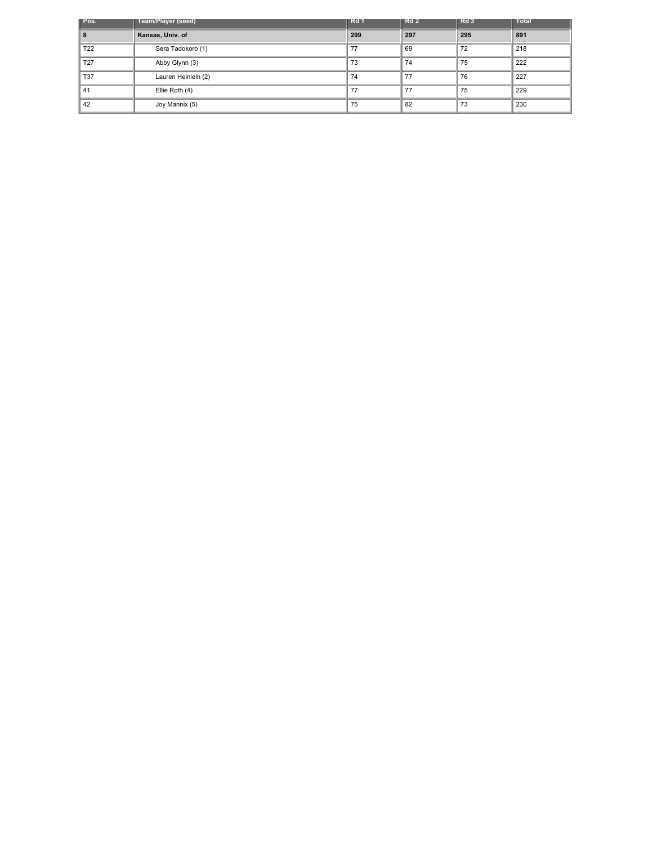| Pos.            | Team/Player (seed)  | Rd 1 | $\blacksquare$ Rd 2 | I≣Rd 3 | <b>Total</b> |
|-----------------|---------------------|------|---------------------|--------|--------------|
| 8               | Kansas, Univ. of    | 299  | 297                 | 295    | 891          |
| T <sub>22</sub> | Sera Tadokoro (1)   | 77   | 69                  | 72     | 218          |
| T <sub>27</sub> | Abby Glynn (3)      | 73   | 74                  | 75     | 222          |
| <b>T37</b>      | Lauren Heinlein (2) | 74   | 77                  | 76     | 227          |
| 41              | Ellie Roth (4)      | 77   | 77                  | 75     | 229          |
| 42              | Joy Mannix (5)      | 75   | 82                  | 73     | 230          |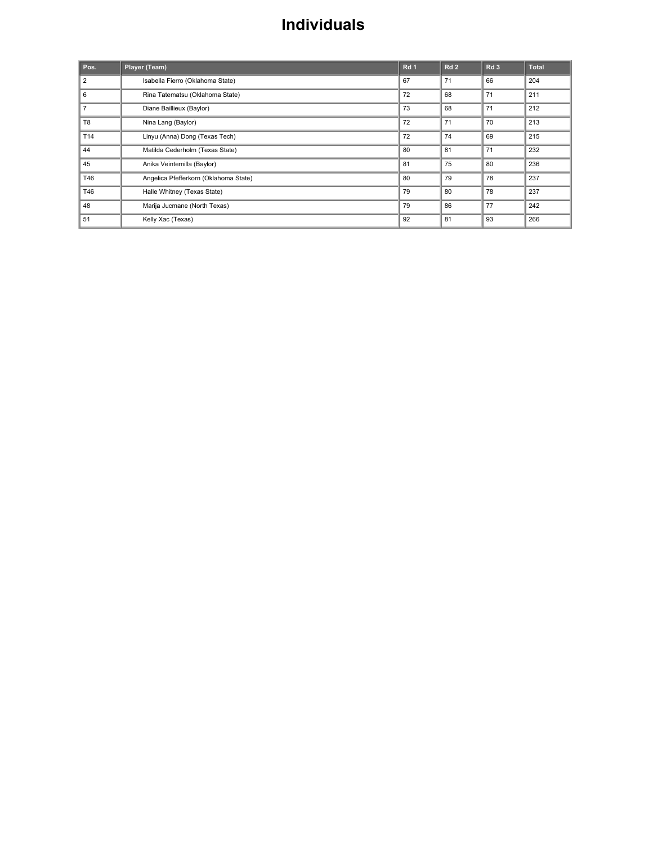### Individuals

| Pos.           | Player (Team)                         | Rd <sub>1</sub> | Rd <sub>2</sub> | Rd <sub>3</sub> | <b>Total</b> |
|----------------|---------------------------------------|-----------------|-----------------|-----------------|--------------|
| $\overline{2}$ | Isabella Fierro (Oklahoma State)      | 67              | 71              | 66              | 204          |
| 6              | Rina Tatematsu (Oklahoma State)       | 72              | 68              | 71              | 211          |
| $\overline{7}$ | Diane Baillieux (Baylor)              | 73              | 68              | 71              | 212          |
| T <sub>8</sub> | Nina Lang (Baylor)                    | 72              | 71              | 70              | 213          |
| T14            | Linyu (Anna) Dong (Texas Tech)        | 72              | 74              | 69              | 215          |
| 44             | Matilda Cederholm (Texas State)       | 80              | 81              | 71              | 232          |
| 45             | Anika Veintemilla (Baylor)            | 81              | 75              | 80              | 236          |
| T46            | Angelica Pfefferkorn (Oklahoma State) | 80              | 79              | 78              | 237          |
| T46            | Halle Whitney (Texas State)           | 79              | 80              | 78              | 237          |
| 48             | Marija Jucmane (North Texas)          | 79              | 86              | 77              | 242          |
| 51             | Kelly Xac (Texas)                     | 92              | 81              | 93              | 266          |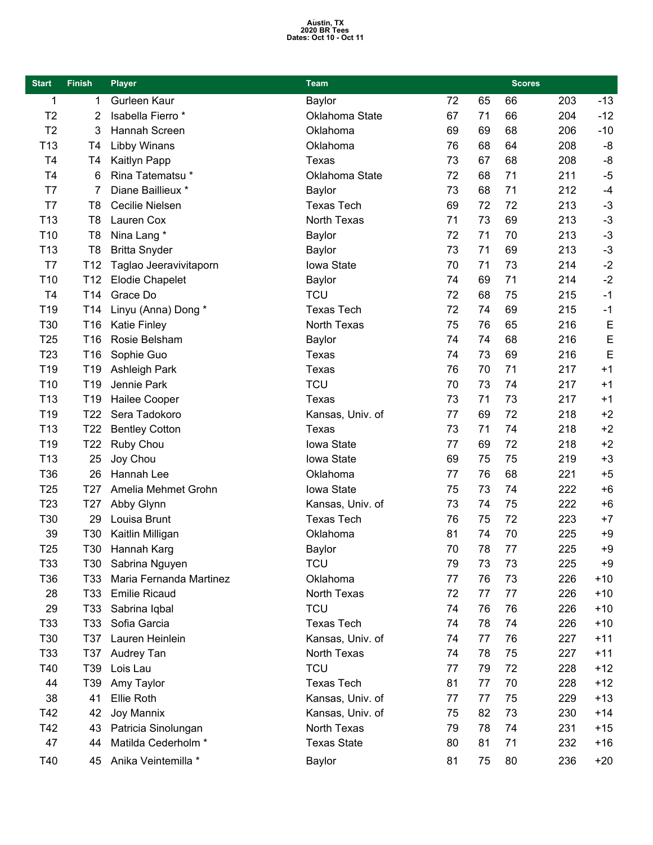# Austin, TX<br>2020 BR Tees<br>Dates: Oct 10 - Oct 11

| <b>Start</b>    | <b>Finish</b>   | <b>Player</b><br><b>Team</b> |                    |    |    | <b>Scores</b> |     |       |
|-----------------|-----------------|------------------------------|--------------------|----|----|---------------|-----|-------|
| 1               | 1               | Gurleen Kaur                 | Baylor             | 72 | 65 | 66            | 203 | $-13$ |
| T <sub>2</sub>  | 2               | Isabella Fierro*             | Oklahoma State     | 67 | 71 | 66            | 204 | $-12$ |
| T <sub>2</sub>  | 3               | Hannah Screen                | Oklahoma           | 69 | 69 | 68            | 206 | $-10$ |
| T <sub>13</sub> | T <sub>4</sub>  | Libby Winans                 | Oklahoma           | 76 | 68 | 64            | 208 | -8    |
| T <sub>4</sub>  | T <sub>4</sub>  | Kaitlyn Papp                 | Texas              | 73 | 67 | 68            | 208 | -8    |
| T <sub>4</sub>  | 6               | Rina Tatematsu*              | Oklahoma State     | 72 | 68 | 71            | 211 | $-5$  |
| T7              | 7               | Diane Baillieux *            | Baylor             | 73 | 68 | 71            | 212 | $-4$  |
| T7              | T <sub>8</sub>  | Cecilie Nielsen              | <b>Texas Tech</b>  | 69 | 72 | 72            | 213 | $-3$  |
| T <sub>13</sub> | T <sub>8</sub>  | Lauren Cox                   | North Texas        | 71 | 73 | 69            | 213 | $-3$  |
| T <sub>10</sub> | T <sub>8</sub>  | Nina Lang *                  | Baylor             | 72 | 71 | 70            | 213 | $-3$  |
| T <sub>13</sub> | T <sub>8</sub>  | <b>Britta Snyder</b>         | Baylor             | 73 | 71 | 69            | 213 | $-3$  |
| T7              | T12             | Taglao Jeeravivitaporn       | Iowa State         | 70 | 71 | 73            | 214 | $-2$  |
| T <sub>10</sub> | T12             | <b>Elodie Chapelet</b>       | Baylor             | 74 | 69 | 71            | 214 | $-2$  |
| T <sub>4</sub>  | T14             | Grace Do                     | <b>TCU</b>         | 72 | 68 | 75            | 215 | $-1$  |
| T <sub>19</sub> | T <sub>14</sub> | Linyu (Anna) Dong *          | <b>Texas Tech</b>  | 72 | 74 | 69            | 215 | $-1$  |
| T30             | T16             | <b>Katie Finley</b>          | North Texas        | 75 | 76 | 65            | 216 | E     |
| T <sub>25</sub> | T16             | Rosie Belsham                | Baylor             | 74 | 74 | 68            | 216 | E     |
| T <sub>23</sub> | T16             | Sophie Guo                   | Texas              | 74 | 73 | 69            | 216 | E     |
| T <sub>19</sub> | T <sub>19</sub> | <b>Ashleigh Park</b>         | Texas              | 76 | 70 | 71            | 217 | $+1$  |
| T <sub>10</sub> | T19             | Jennie Park                  | <b>TCU</b>         | 70 | 73 | 74            | 217 | $+1$  |
| T <sub>13</sub> | T <sub>19</sub> | <b>Hailee Cooper</b>         | Texas              | 73 | 71 | 73            | 217 | $+1$  |
| T <sub>19</sub> | T <sub>22</sub> | Sera Tadokoro                | Kansas, Univ. of   | 77 | 69 | 72            | 218 | $+2$  |
| T <sub>13</sub> | T <sub>22</sub> | <b>Bentley Cotton</b>        | Texas              | 73 | 71 | 74            | 218 | $+2$  |
| T <sub>19</sub> | T <sub>22</sub> | Ruby Chou                    | Iowa State         | 77 | 69 | 72            | 218 | $+2$  |
| T <sub>13</sub> | 25              | Joy Chou                     | Iowa State         | 69 | 75 | 75            | 219 | $+3$  |
| T36             | 26              | Hannah Lee                   | Oklahoma           | 77 | 76 | 68            | 221 | $+5$  |
| T <sub>25</sub> | T <sub>27</sub> | Amelia Mehmet Grohn          | Iowa State         | 75 | 73 | 74            | 222 | $+6$  |
| T <sub>23</sub> | T <sub>27</sub> | Abby Glynn                   | Kansas, Univ. of   | 73 | 74 | 75            | 222 | $+6$  |
| T30             | 29              | Louisa Brunt                 | <b>Texas Tech</b>  | 76 | 75 | 72            | 223 | $+7$  |
| 39              | T30             | Kaitlin Milligan             | Oklahoma           | 81 | 74 | 70            | 225 | $+9$  |
| T <sub>25</sub> | T30             | Hannah Karg                  | <b>Baylor</b>      | 70 | 78 | 77            | 225 | $+9$  |
| T33             | T30             | Sabrina Nguyen               | <b>TCU</b>         | 79 | 73 | 73            | 225 | $+9$  |
| T36             | T <sub>33</sub> | Maria Fernanda Martinez      | Oklahoma           | 77 | 76 | 73            | 226 | $+10$ |
| 28              | T <sub>33</sub> | <b>Emilie Ricaud</b>         | North Texas        | 72 | 77 | 77            | 226 | $+10$ |
| 29              | T <sub>33</sub> | Sabrina Iqbal                | <b>TCU</b>         | 74 | 76 | 76            | 226 | $+10$ |
| T33             | T33             | Sofia Garcia                 | <b>Texas Tech</b>  | 74 | 78 | 74            | 226 | $+10$ |
| T30             | T37             | Lauren Heinlein              | Kansas, Univ. of   | 74 | 77 | 76            | 227 | $+11$ |
| T33             | T37             | Audrey Tan                   | North Texas        | 74 | 78 | 75            | 227 | $+11$ |
| T40             | T39             | Lois Lau                     | <b>TCU</b>         | 77 | 79 | 72            | 228 | $+12$ |
| 44              | T39             | Amy Taylor                   | <b>Texas Tech</b>  | 81 | 77 | 70            | 228 | $+12$ |
| 38              | 41              | Ellie Roth                   | Kansas, Univ. of   | 77 | 77 | 75            | 229 | $+13$ |
| T42             | 42              | Joy Mannix                   | Kansas, Univ. of   | 75 | 82 | 73            | 230 | $+14$ |
| T42             | 43              | Patricia Sinolungan          | North Texas        | 79 | 78 | 74            | 231 | $+15$ |
| 47              | 44              | Matilda Cederholm *          | <b>Texas State</b> | 80 | 81 | 71            | 232 | $+16$ |
| T40             | 45              | Anika Veintemilla *          | Baylor             | 81 | 75 | 80            | 236 | $+20$ |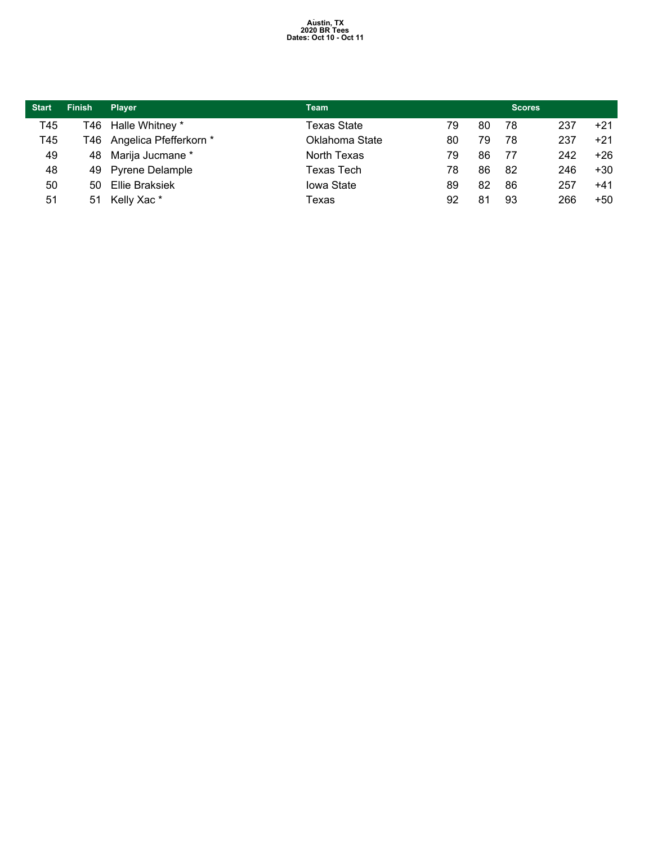# Austin, TX<br>2020 BR Tees<br>Dates: Oct 10 - Oct 11

| <b>Start</b> | <b>Finish</b> | <b>Plaver</b>              | <b>Team</b>       |    |    | <b>Scores</b> |     |       |
|--------------|---------------|----------------------------|-------------------|----|----|---------------|-----|-------|
| T45          |               | T46 Halle Whitney *        | Texas State       | 79 | 80 | 78            | 237 | $+21$ |
| T45          |               | T46 Angelica Pfefferkorn * | Oklahoma State    | 80 | 79 | 78            | 237 | $+21$ |
| 49           |               | 48 Marija Jucmane *        | North Texas       | 79 | 86 | 77            | 242 | $+26$ |
| 48           |               | 49 Pyrene Delample         | Texas Tech        | 78 | 86 | -82           | 246 | $+30$ |
| 50           | 50.           | Ellie Braksiek             | <b>lowa State</b> | 89 | 82 | 86            | 257 | $+41$ |
| 51           | 51            | Kelly Xac*                 | Texas             | 92 | 81 | 93            | 266 | $+50$ |